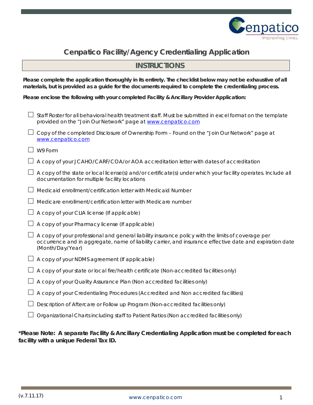

# **Cenpatico Facility/Agency Credentialing Application**

## **INSTRUCTIONS**

**Please complete the application thoroughly in its entirety. The checklist below may not be exhaustive of all materials, but is provided as a guide for the documents required to complete the credentialing process.**

**Please enclose the following with your completed Facility & Ancillary Provider Application:**

| Staff Roster for all behavioral health treatment staff. Must be submitted in excel format on the template<br>provided on the "Join Our Network" page at www.cenpatico.com                                                          |
|------------------------------------------------------------------------------------------------------------------------------------------------------------------------------------------------------------------------------------|
| Copy of the completed Disclosure of Ownership Form - Found on the "Join Our Network" page at<br>www.cenpatico.com                                                                                                                  |
| W9 Form                                                                                                                                                                                                                            |
| A copy of your JCAHO/CARF/COA/or AOA accreditation letter with dates of accreditation                                                                                                                                              |
| A copy of the state or local license(s) and/or certificate(s) under which your facility operates. Include all<br>documentation for multiple facility locations                                                                     |
| Medicaid enrollment/certification letter with Medicaid Number                                                                                                                                                                      |
| Medicare enrollment/certification letter with Medicare number                                                                                                                                                                      |
| A copy of your CLIA license (If applicable)                                                                                                                                                                                        |
| A copy of your Pharmacy license (If applicable)                                                                                                                                                                                    |
| A copy of your professional and general liability insurance policy with the limits of coverage per<br>occurrence and in aggregate, name of liability carrier, and insurance effective date and expiration date<br>(Month/Day/Year) |
| A copy of your NDMS agreement (If applicable)                                                                                                                                                                                      |
| A copy of your state or local fire/health certificate (Non-accredited facilities only)                                                                                                                                             |
| A copy of your Quality Assurance Plan (Non accredited facilities only)                                                                                                                                                             |
| A copy of your Credentialing Procedures (Accredited and Non accredited facilities)                                                                                                                                                 |
| Description of Aftercare or Follow up Program (Non-accredited facilities only)                                                                                                                                                     |
| Organizational Charts including staff to Patient Ratios (Non accredited facilities only)                                                                                                                                           |

**\*Please Note: A separate Facility & Ancillary Credentialing Application must be completed for each facility with a unique Federal Tax ID.**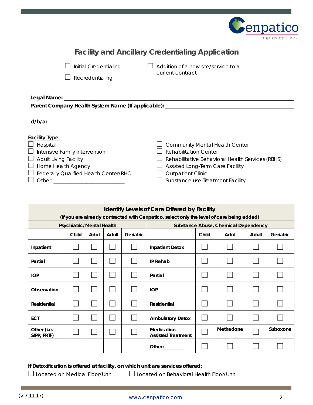

| <b>Facility and Ancillary Credentialing Application</b> |                                                                                                                                                                        |                                                                                                                                                                                                                               |  |  |  |  |  |  |
|---------------------------------------------------------|------------------------------------------------------------------------------------------------------------------------------------------------------------------------|-------------------------------------------------------------------------------------------------------------------------------------------------------------------------------------------------------------------------------|--|--|--|--|--|--|
|                                                         | <b>Initial Credentialing</b><br>Addition of a new site/service to a<br>current contract<br>Recredentialing                                                             |                                                                                                                                                                                                                               |  |  |  |  |  |  |
| d/b/a:                                                  | Legal Name: will be a series of the series of the series of the series of the series of the series of the series<br>Parent Company Health System Name (If applicable): | <u> 1980 - Johann Stein, fransk politik (d. 1980)</u>                                                                                                                                                                         |  |  |  |  |  |  |
| <b>Facility Type</b><br>Hospital                        | Intensive Family Intervention<br>Adult Living Facility<br>Home Health Agency<br>$\Box$ Federally Qualified Health Center/RHC                                           | <b>Community Mental Health Center</b><br><b>Rehabilitation Center</b><br>Rehabilitative Behavioral Health Services (RBHS)<br>Assisted Long-Term Care Facility<br><b>Outpatient Clinic</b><br>Substance use Treatment Facility |  |  |  |  |  |  |

| <b>Identify Levels of Care Offered by Facility</b>                                        |                           |      |       |           |                                         |       |                                      |       |           |  |
|-------------------------------------------------------------------------------------------|---------------------------|------|-------|-----------|-----------------------------------------|-------|--------------------------------------|-------|-----------|--|
| (If you are already contracted with Cenpatico, select only the level of care being added) |                           |      |       |           |                                         |       |                                      |       |           |  |
|                                                                                           | Psychiatric/Mental Health |      |       |           |                                         |       | Substance Abuse, Chemical Dependency |       |           |  |
|                                                                                           | Child                     | Adol | Adult | Geriatric |                                         | Child | Adol                                 | Adult | Geriatric |  |
| Inpatient                                                                                 |                           |      |       |           | <b>Inpatient Detox</b>                  |       |                                      |       |           |  |
| Partial                                                                                   |                           |      |       |           | <b>IP Rehab</b>                         |       |                                      |       |           |  |
| <b>IOP</b>                                                                                |                           |      |       |           | Partial                                 |       |                                      |       |           |  |
| Observation                                                                               |                           |      |       |           | <b>IOP</b>                              |       |                                      |       |           |  |
| Residential                                                                               |                           |      |       |           | <b>Residential</b>                      |       |                                      |       |           |  |
| <b>ECT</b>                                                                                |                           |      |       |           | <b>Ambulatory Detox</b>                 |       |                                      |       |           |  |
| Other (i.e.<br>SIPP, PRTF)                                                                |                           |      |       |           | Medication<br><b>Assisted Treatment</b> |       | Methadone                            |       | Suboxone  |  |
|                                                                                           |                           |      |       |           | Other:                                  |       |                                      |       |           |  |

**If Detoxification is offered at facility, on which unit are services offered:**

Located on Medical Floor/Unit Located on Behavioral Health Floor/Unit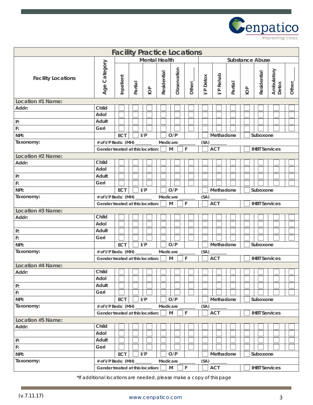

| <b>Facility Practice Locations</b> |                                  |                                            |         |                                     |             |             |                                    |                 |            |         |                        |                      |                     |        |
|------------------------------------|----------------------------------|--------------------------------------------|---------|-------------------------------------|-------------|-------------|------------------------------------|-----------------|------------|---------|------------------------|----------------------|---------------------|--------|
|                                    |                                  |                                            |         | <b>Mental Health</b>                |             |             |                                    |                 |            |         | <b>Substance Abuse</b> |                      |                     |        |
| <b>Facility Locations</b>          | Age Category                     | Inpatient                                  | Partial | $\overline{\underline{\mathsf{O}}}$ | Residential | Observation | Other:_                            | <b>/P</b> Detox | I/P Rehab  | Partial | $\overline{O}$         | Residential          | Ambulatory<br>Detox | Other: |
| Location #1 Name:                  |                                  |                                            |         |                                     |             |             |                                    |                 |            |         |                        |                      |                     |        |
| Addr:                              | Child                            |                                            |         |                                     |             |             |                                    |                 |            |         |                        |                      |                     |        |
|                                    | Adol                             |                                            |         |                                     |             |             |                                    |                 |            |         |                        |                      |                     |        |
| $\mathsf{P}$ :                     | Adult                            |                                            |         |                                     |             |             |                                    |                 |            |         |                        |                      |                     |        |
| F:                                 | Geri                             |                                            |         |                                     |             |             |                                    |                 |            |         |                        |                      |                     |        |
| NPI:                               |                                  | ECT                                        |         | I/P                                 |             | O/P         |                                    |                 | Methadone  |         |                        | Suboxone             |                     |        |
| Taxonomy:                          | # of I/P Beds: (MH) _______      |                                            |         |                                     | Medicare    |             |                                    | (SA)            |            |         |                        |                      |                     |        |
|                                    | Gender treated at this location: |                                            |         |                                     |             | M           | F                                  |                 | <b>ACT</b> |         |                        | <b>IHBT Services</b> |                     |        |
| Location #2 Name:                  |                                  |                                            |         |                                     |             |             |                                    |                 |            |         |                        |                      |                     |        |
| Addr:                              | Child                            |                                            |         |                                     |             |             |                                    |                 |            |         |                        |                      |                     |        |
|                                    | Adol                             |                                            |         |                                     |             |             |                                    |                 |            |         |                        |                      |                     |        |
| $\mathsf{P}$ :                     | Adult                            |                                            |         |                                     |             |             |                                    |                 |            |         |                        |                      |                     |        |
| $\mathbb{R}^1$                     | Geri                             |                                            |         |                                     |             |             |                                    |                 |            |         |                        |                      |                     |        |
| NPI:                               |                                  | <b>ECT</b>                                 |         | I/P                                 |             | O/P         |                                    |                 | Methadone  |         |                        | Suboxone             |                     |        |
| Taxonomy:                          | # of I/P Beds: (MH) ______       |                                            |         |                                     | Medicare_   |             |                                    | (SA)            |            |         |                        |                      |                     |        |
|                                    |                                  | F<br>M<br>Gender treated at this location: |         |                                     |             |             | <b>ACT</b><br><b>IHBT Services</b> |                 |            |         |                        |                      |                     |        |
| Location #3 Name:<br>Addr:         | Child                            |                                            |         |                                     |             |             |                                    |                 |            |         |                        |                      |                     |        |
|                                    | Adol                             |                                            |         |                                     |             |             |                                    |                 |            |         |                        |                      |                     |        |
| P:                                 | Adult                            |                                            |         |                                     |             |             |                                    |                 |            |         |                        |                      |                     |        |
| $\mathsf{F}$                       | Geri                             |                                            |         |                                     |             |             |                                    |                 |            |         |                        |                      |                     |        |
| NPI:                               |                                  | <b>ECT</b>                                 |         | I/P                                 |             | O/P         |                                    |                 | Methadone  |         |                        | Suboxone             |                     |        |
| Taxonomy:                          | # of I/P Beds: (MH) _______      |                                            |         |                                     | Medicare    |             |                                    | (SA)            |            |         |                        |                      |                     |        |
|                                    | Gender treated at this location: |                                            |         |                                     |             | M           | F                                  |                 | <b>ACT</b> |         |                        | <b>IHBT Services</b> |                     |        |
| <b>Location #4 Name:</b>           |                                  |                                            |         |                                     |             |             |                                    |                 |            |         |                        |                      |                     |        |
| Addr:                              | Child                            |                                            |         |                                     |             |             |                                    |                 |            |         |                        |                      |                     |        |
|                                    | Adol                             |                                            |         |                                     |             |             |                                    |                 |            |         |                        |                      |                     |        |
| P:                                 | Adult                            |                                            |         |                                     |             |             |                                    |                 |            |         |                        |                      |                     |        |
| F:                                 | Geri                             |                                            |         |                                     |             |             |                                    |                 |            |         |                        |                      |                     |        |
| NPI:                               |                                  | ECT                                        |         | I/P                                 |             | O/P         |                                    |                 | Methadone  |         |                        | Suboxone             |                     |        |
| Taxonomy:                          | # of I/P Beds: (MH) _            |                                            |         |                                     | Medicare    |             |                                    | (SA)            |            |         |                        |                      |                     |        |
|                                    | Gender treated at this location: |                                            |         |                                     |             | M           | F                                  |                 | <b>ACT</b> |         |                        | <b>IHBT Services</b> |                     |        |
| Location #5 Name:                  |                                  |                                            |         |                                     |             |             |                                    |                 |            |         |                        |                      |                     |        |
| Addr:                              | Child                            |                                            |         |                                     |             |             |                                    |                 |            |         |                        |                      |                     |        |
|                                    | Adol                             |                                            |         |                                     |             |             |                                    |                 |            |         |                        |                      |                     |        |
| P:                                 | Adult                            |                                            |         |                                     |             |             |                                    |                 |            |         |                        |                      |                     |        |
| F:                                 | Geri                             |                                            |         |                                     |             |             |                                    |                 |            |         |                        |                      |                     |        |
| NPI:                               |                                  | ECT                                        |         | I/P                                 |             | O/P         |                                    |                 | Methadone  |         |                        | Suboxone             |                     |        |
| Taxonomy:                          | # of I/P Beds: (MH) _            |                                            |         |                                     | Medicare    |             |                                    | (SA)            |            |         |                        |                      |                     |        |
|                                    | Gender treated at this location: |                                            |         |                                     |             | M           | F                                  |                 | <b>ACT</b> |         |                        | <b>IHBT Services</b> |                     |        |

\*If additional locations are needed, please make a copy of this page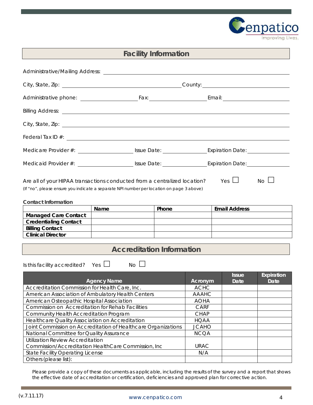

## **Facility Information**

| Yes $\Box$<br>$No \Box$<br>Are all of your HIPAA transactions conducted from a centralized location?<br>(If "no", please ensure you indicate a separate NPI number per location on page 3 above)<br><b>Contact Information</b> |  |       |                                  |                      |  |  |  |  |  |
|--------------------------------------------------------------------------------------------------------------------------------------------------------------------------------------------------------------------------------|--|-------|----------------------------------|----------------------|--|--|--|--|--|
| Name                                                                                                                                                                                                                           |  | Phone |                                  | <b>Email Address</b> |  |  |  |  |  |
| <b>Managed Care Contact</b>                                                                                                                                                                                                    |  |       |                                  |                      |  |  |  |  |  |
| <b>Credentialing Contact</b>                                                                                                                                                                                                   |  |       |                                  |                      |  |  |  |  |  |
| <b>Billing Contact</b>                                                                                                                                                                                                         |  |       |                                  |                      |  |  |  |  |  |
| <b>Clinical Director</b>                                                                                                                                                                                                       |  |       |                                  |                      |  |  |  |  |  |
|                                                                                                                                                                                                                                |  |       | <b>Accreditation Information</b> |                      |  |  |  |  |  |

Is this facility accredited? Yes  $\Box$  No  $\Box$ 

| <b>Agency Name</b>                                            | Acronym      | <b>Issue</b><br>Date | Expiration<br>Date |
|---------------------------------------------------------------|--------------|----------------------|--------------------|
| Accreditation Commission for Health Care, Inc.                | <b>ACHC</b>  |                      |                    |
| American Association of Ambulatory Health Centers             | <b>AAAHC</b> |                      |                    |
| American Osteopathic Hospital Association                     | <b>AOHA</b>  |                      |                    |
| <b>Commission on Accreditation for Rehab Facilities</b>       | <b>CARF</b>  |                      |                    |
| Community Health Accreditation Program                        | <b>CHAP</b>  |                      |                    |
| Healthcare Quality Association on Accreditation               | <b>HQAA</b>  |                      |                    |
| Joint Commission on Accreditation of Healthcare Organizations | <b>JCAHO</b> |                      |                    |
| National Committee for Quality Assurance                      | <b>NCQA</b>  |                      |                    |
| <b>Utilization Review Accreditation</b>                       |              |                      |                    |
| Commission/Accreditation HealthCare Commission, Inc           | <b>URAC</b>  |                      |                    |
| <b>State Facility Operating License</b>                       | N/A          |                      |                    |
| Others (please list):                                         |              |                      |                    |

Please provide a copy of these documents as applicable, including the results of the survey and a report that shows the effective date of accreditation or certification, deficiencies and approved plan for corrective action.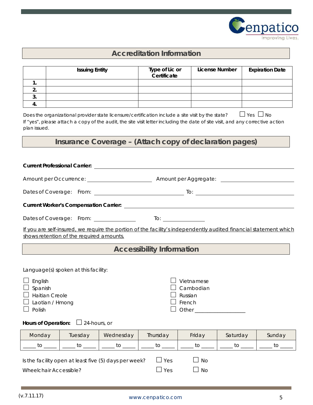

## **Accreditation Information**

|          | <b>Issuing Entity</b> | Type of Lic or<br>Certificate | License Number | <b>Expiration Date</b> |
|----------|-----------------------|-------------------------------|----------------|------------------------|
| . .      |                       |                               |                |                        |
| <u>.</u> |                       |                               |                |                        |
|          |                       |                               |                |                        |
|          |                       |                               |                |                        |
|          |                       |                               |                |                        |

Does the organizational provider state licensure/certification include a site visit by the state?  $\Box$  Yes  $\Box$  No If "yes", please attach a copy of the audit, the site visit letter including the date of site visit, and any corrective action plan issued.

## **Insurance Coverage –** *(Attach copy of declaration pages)*

| <b>Current Professional Carrier:</b> And The Current Professional Carrier:                                                                                                                       |                                                                                                                                                                                                                                                                                                                                                                                                                         |                                                       |                                  |                                     |                                |               |  |  |  |  |  |  |
|--------------------------------------------------------------------------------------------------------------------------------------------------------------------------------------------------|-------------------------------------------------------------------------------------------------------------------------------------------------------------------------------------------------------------------------------------------------------------------------------------------------------------------------------------------------------------------------------------------------------------------------|-------------------------------------------------------|----------------------------------|-------------------------------------|--------------------------------|---------------|--|--|--|--|--|--|
|                                                                                                                                                                                                  | Amount per Occurrence: _______________________<br>Amount per Aggregate: Amount per Aggregate:                                                                                                                                                                                                                                                                                                                           |                                                       |                                  |                                     |                                |               |  |  |  |  |  |  |
|                                                                                                                                                                                                  |                                                                                                                                                                                                                                                                                                                                                                                                                         |                                                       |                                  |                                     |                                |               |  |  |  |  |  |  |
|                                                                                                                                                                                                  |                                                                                                                                                                                                                                                                                                                                                                                                                         |                                                       |                                  |                                     |                                |               |  |  |  |  |  |  |
|                                                                                                                                                                                                  | Dates of Coverage: From: _______________<br>$\overline{a}$ To: $\overline{a}$ $\overline{a}$ $\overline{a}$ $\overline{a}$ $\overline{a}$ $\overline{a}$ $\overline{a}$ $\overline{a}$ $\overline{a}$ $\overline{a}$ $\overline{a}$ $\overline{a}$ $\overline{a}$ $\overline{a}$ $\overline{a}$ $\overline{a}$ $\overline{a}$ $\overline{a}$ $\overline{a}$ $\overline{a}$ $\overline{a}$ $\overline{a}$ $\overline{a}$ |                                                       |                                  |                                     |                                |               |  |  |  |  |  |  |
| If you are self-insured, we require the portion of the facility's independently audited financial statement which<br>shows retention of the required amounts.                                    |                                                                                                                                                                                                                                                                                                                                                                                                                         |                                                       |                                  |                                     |                                |               |  |  |  |  |  |  |
|                                                                                                                                                                                                  |                                                                                                                                                                                                                                                                                                                                                                                                                         |                                                       | <b>Accessibility Information</b> |                                     |                                |               |  |  |  |  |  |  |
| Language(s) spoken at this facility:<br>English<br>Vietnamese<br>Spanish<br>Cambodian<br><b>Haitian Creole</b><br>Russian<br>French<br>Laotian / Hmong<br>Polish<br>Other Charles Communications |                                                                                                                                                                                                                                                                                                                                                                                                                         |                                                       |                                  |                                     |                                |               |  |  |  |  |  |  |
|                                                                                                                                                                                                  | Hours of Operation: $\Box$ 24-hours, or                                                                                                                                                                                                                                                                                                                                                                                 |                                                       |                                  |                                     |                                |               |  |  |  |  |  |  |
| Monday                                                                                                                                                                                           | Tuesday                                                                                                                                                                                                                                                                                                                                                                                                                 | Wednesday                                             | Thursday                         | Friday                              | Saturday                       | Sunday        |  |  |  |  |  |  |
|                                                                                                                                                                                                  |                                                                                                                                                                                                                                                                                                                                                                                                                         |                                                       |                                  | $\frac{1}{\sqrt{1-\frac{1}{2}}}$ to | $\frac{1}{2}$ to $\frac{1}{2}$ | $\mathsf{to}$ |  |  |  |  |  |  |
|                                                                                                                                                                                                  |                                                                                                                                                                                                                                                                                                                                                                                                                         | Is the facility open at least five (5) days per week? | Yes                              | <b>No</b>                           |                                |               |  |  |  |  |  |  |

Wheelchair Accessible?  $\Box$  Yes  $\Box$  No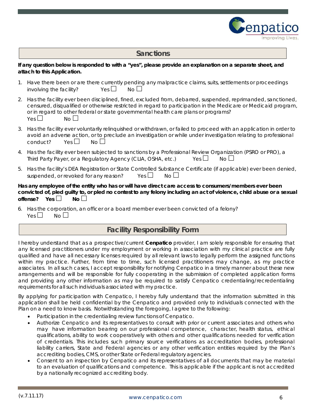

#### **Sanctions**

#### *If any question below is responded to with a "yes", please provide an explanation on a separate sheet, and attach to this Application.*

- 1. Have there been or are there currently pending any malpractice claims, suits, settlements or proceedings involving the facility?  $Yes \Box$  No  $\Box$
- 2. Has the facility ever been disciplined, fined, excluded from, debarred, suspended, reprimanded, sanctioned, censured, disqualified or otherwise restricted in regard to participation in the Medicare or Medicaid program, or in regard to other federal or state governmental health care plans or programs?  $Yes \Box$  No  $\Box$
- 3. Has the facility ever voluntarily relinquished or withdrawn, or failed to proceed with an application in order to avoid an adverse action, or to preclude an investigation or while under investigation relating to professional conduct? Yes  $\Box$  No  $\Box$
- 4. Has the facility ever been subjected to sanctions by a Professional Review Organization (PSRO or PRO), a Third Party Payer, or a Regulatory Agency (CLIA, OSHA, etc.) Yes  $\Box$  No  $\Box$
- 5. Has the facility's DEA Registration or State Controlled Substance Certificate (if applicable) ever been denied, suspended, or revoked for any reason? Yes  $\Box$  No  $\Box$

**Has any employee of the entity who has or will have direct care access to consumers/members ever been convicted of, pled guilty to, or pled no contest to any felony including an act of violence, child abuse or a sexual offense?** Yes **Δ** No  $\Box$ 

6. Has the corporation, an officer or a board member ever been convicted of a felony?  $Yes \Box \qquad No \Box$ 

## **Facility Responsibility Form**

I hereby understand that as a prospective/current **Cenpatico** provider, I am solely responsible for ensuring that any licensed practitioners under my employment or working in association with my clinical practice are fully qualified and have all necessary licenses required by all relevant laws to legally perform the assigned functions within my practice. Further, from time to time, such licensed practitioners may change, as my practice associates. In all such cases, I accept responsibility for notifying Cenpatico in a timely manner about these new arrangements and will be responsible for fully cooperating in the submission of completed application forms and providing any other information as may be required to satisfy Cenpatico credentialing/recredentialing requirements for all such individuals associated with my practice.

By applying for participation with Cenpatico, I hereby fully understand that the information submitted in this application shall be held confidential by the Cenpatico and provided only to individuals connected with the Plan on a need to know basis. Notwithstanding the foregoing, I agree to the following:

- Participation in the credentialing review functions of Cenpatico.
- Authorize Cenpatico and its representatives to consult with prior or current associates and others who may have information bearing on our professional competence, character, health status, ethical qualifications, ability to work cooperatively with others and other qualifications needed for verification of credentials. This includes such primary source verifications as accreditation bodies, professional liability carriers, State and Federal agencies or any other verification entities required by the Plan's accrediting bodies, CMS, or other State or Federal regulatory agencies.
- Consent to an inspection by Cenpatico and its representatives of all documents that may be material to an evaluation of qualifications and competence. This is applicable if the applicant is not accredited by a nationally recognized accrediting body.